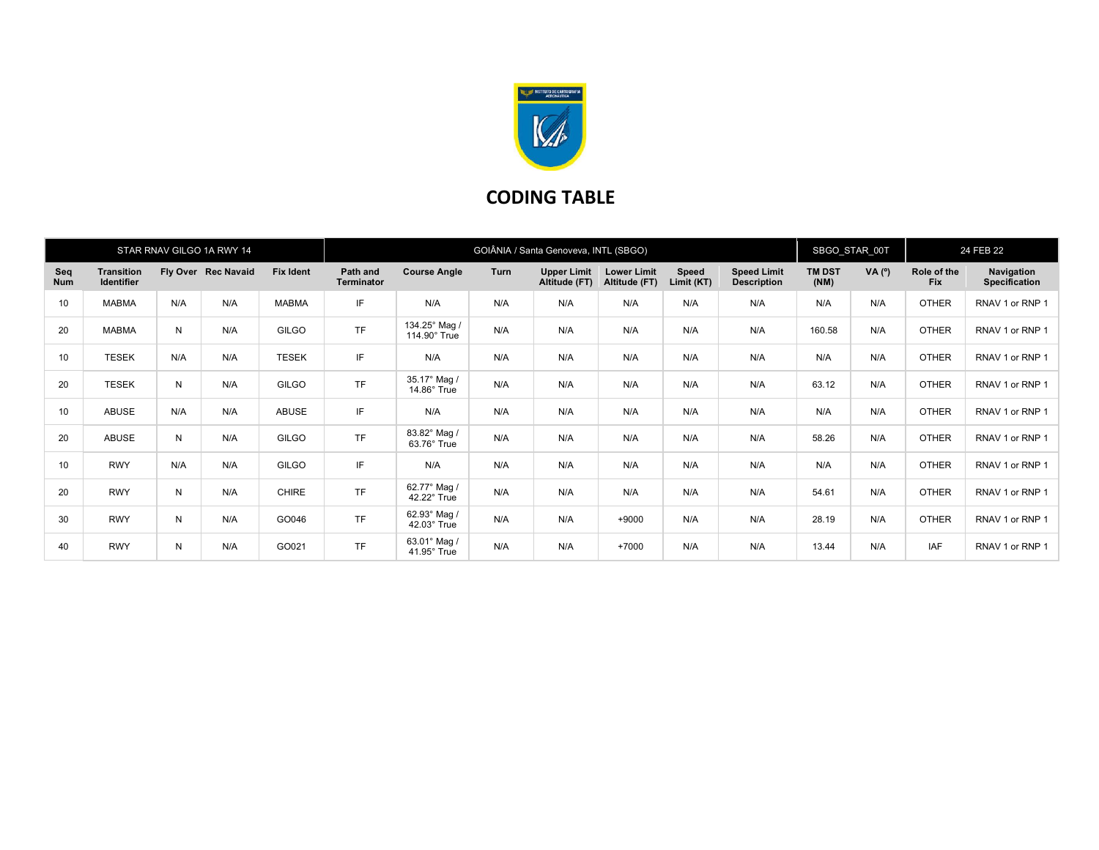

## CODING TABLE

|                   |                                        |     | STAR RNAV GILGO 1A RWY 14 |                  | GOIÂNIA / Santa Genoveva, INTL (SBGO) |                                    |      |                                     |                                     |                     |                                          | SBGO STAR 00T         |        | 24 FEB 22                 |                                    |
|-------------------|----------------------------------------|-----|---------------------------|------------------|---------------------------------------|------------------------------------|------|-------------------------------------|-------------------------------------|---------------------|------------------------------------------|-----------------------|--------|---------------------------|------------------------------------|
| Seq<br><b>Num</b> | <b>Transition</b><br><b>Identifier</b> |     | Fly Over Rec Navaid       | <b>Fix Ident</b> | Path and<br><b>Terminator</b>         | <b>Course Angle</b>                | Turn | <b>Upper Limit</b><br>Altitude (FT) | <b>Lower Limit</b><br>Altitude (FT) | Speed<br>Limit (KT) | <b>Speed Limit</b><br><b>Description</b> | <b>TM DST</b><br>(NM) | VA (°) | Role of the<br><b>Fix</b> | Navigation<br><b>Specification</b> |
| 10                | <b>MABMA</b>                           | N/A | N/A                       | <b>MABMA</b>     | IF                                    | N/A                                | N/A  | N/A                                 | N/A                                 | N/A                 | N/A                                      | N/A                   | N/A    | <b>OTHER</b>              | RNAV 1 or RNP 1                    |
| 20                | <b>MABMA</b>                           | N   | N/A                       | <b>GILGO</b>     | <b>TF</b>                             | 134.25° Mag /<br>114.90° True      | N/A  | N/A                                 | N/A                                 | N/A                 | N/A                                      | 160.58                | N/A    | <b>OTHER</b>              | RNAV 1 or RNP 1                    |
| 10                | <b>TESEK</b>                           | N/A | N/A                       | <b>TESEK</b>     | IF                                    | N/A                                | N/A  | N/A                                 | N/A                                 | N/A                 | N/A                                      | N/A                   | N/A    | <b>OTHER</b>              | RNAV 1 or RNP 1                    |
| 20                | <b>TESEK</b>                           | N   | N/A                       | <b>GILGO</b>     | <b>TF</b>                             | 35.17° Mag /<br>$14.86^\circ$ True | N/A  | N/A                                 | N/A                                 | N/A                 | N/A                                      | 63.12                 | N/A    | <b>OTHER</b>              | RNAV 1 or RNP 1                    |
| 10                | <b>ABUSE</b>                           | N/A | N/A                       | ABUSE            | IF                                    | N/A                                | N/A  | N/A                                 | N/A                                 | N/A                 | N/A                                      | N/A                   | N/A    | <b>OTHER</b>              | RNAV 1 or RNP 1                    |
| 20                | <b>ABUSE</b>                           | N   | N/A                       | <b>GILGO</b>     | <b>TF</b>                             | 83.82° Mag /<br>$63.76^\circ$ True | N/A  | N/A                                 | N/A                                 | N/A                 | N/A                                      | 58.26                 | N/A    | <b>OTHER</b>              | RNAV 1 or RNP 1                    |
| 10                | <b>RWY</b>                             | N/A | N/A                       | <b>GILGO</b>     | IF                                    | N/A                                | N/A  | N/A                                 | N/A                                 | N/A                 | N/A                                      | N/A                   | N/A    | <b>OTHER</b>              | RNAV 1 or RNP 1                    |
| 20                | <b>RWY</b>                             | N   | N/A                       | <b>CHIRE</b>     | <b>TF</b>                             | 62.77° Mag /<br>42.22° True        | N/A  | N/A                                 | N/A                                 | N/A                 | N/A                                      | 54.61                 | N/A    | <b>OTHER</b>              | RNAV 1 or RNP 1                    |
| 30                | <b>RWY</b>                             | N   | N/A                       | GO046            | <b>TF</b>                             | 62.93° Mag /<br>$42.03^\circ$ True | N/A  | N/A                                 | $+9000$                             | N/A                 | N/A                                      | 28.19                 | N/A    | <b>OTHER</b>              | RNAV 1 or RNP 1                    |
| 40                | <b>RWY</b>                             | N   | N/A                       | GO021            | <b>TF</b>                             | 63.01° Mag /<br>$41.95^\circ$ True | N/A  | N/A                                 | $+7000$                             | N/A                 | N/A                                      | 13.44                 | N/A    | <b>IAF</b>                | RNAV 1 or RNP 1                    |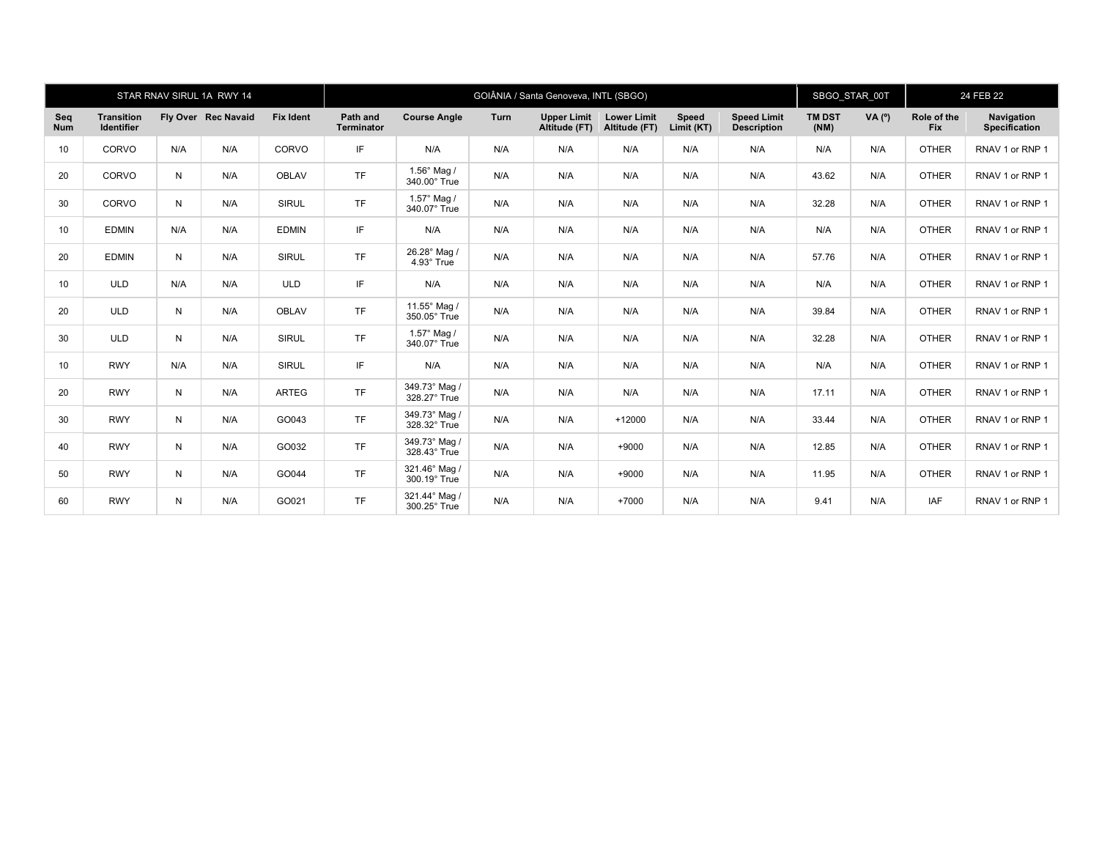|                   |                                        |     | STAR RNAV SIRUL 1A RWY 14 |                  | GOIÂNIA / Santa Genoveva, INTL (SBGO) |                                      |      |                                     |                                     |                     |                                          | SBGO STAR 00T         |        | 24 FEB 22                 |                                    |
|-------------------|----------------------------------------|-----|---------------------------|------------------|---------------------------------------|--------------------------------------|------|-------------------------------------|-------------------------------------|---------------------|------------------------------------------|-----------------------|--------|---------------------------|------------------------------------|
| Seq<br><b>Num</b> | <b>Transition</b><br><b>Identifier</b> |     | Fly Over Rec Navaid       | <b>Fix Ident</b> | Path and<br>Terminator                | <b>Course Angle</b>                  | Turn | <b>Upper Limit</b><br>Altitude (FT) | <b>Lower Limit</b><br>Altitude (FT) | Speed<br>Limit (KT) | <b>Speed Limit</b><br><b>Description</b> | <b>TM DST</b><br>(NM) | VA (°) | Role of the<br><b>Fix</b> | Navigation<br><b>Specification</b> |
| 10                | CORVO                                  | N/A | N/A                       | CORVO            | IF                                    | N/A                                  | N/A  | N/A                                 | N/A                                 | N/A                 | N/A                                      | N/A                   | N/A    | <b>OTHER</b>              | RNAV 1 or RNP 1                    |
| 20                | CORVO                                  | N   | N/A                       | <b>OBLAV</b>     | <b>TF</b>                             | $1.56^{\circ}$ Mag /<br>340.00° True | N/A  | N/A                                 | N/A                                 | N/A                 | N/A                                      | 43.62                 | N/A    | <b>OTHER</b>              | RNAV 1 or RNP 1                    |
| 30                | CORVO                                  | N   | N/A                       | <b>SIRUL</b>     | <b>TF</b>                             | 1.57° Mag /<br>340.07° True          | N/A  | N/A                                 | N/A                                 | N/A                 | N/A                                      | 32.28                 | N/A    | <b>OTHER</b>              | RNAV 1 or RNP 1                    |
| 10                | <b>EDMIN</b>                           | N/A | N/A                       | <b>EDMIN</b>     | IF                                    | N/A                                  | N/A  | N/A                                 | N/A                                 | N/A                 | N/A                                      | N/A                   | N/A    | <b>OTHER</b>              | RNAV 1 or RNP 1                    |
| 20                | <b>EDMIN</b>                           | N   | N/A                       | <b>SIRUL</b>     | <b>TF</b>                             | 26.28° Mag /<br>4.93° True           | N/A  | N/A                                 | N/A                                 | N/A                 | N/A                                      | 57.76                 | N/A    | <b>OTHER</b>              | RNAV 1 or RNP 1                    |
| 10                | <b>ULD</b>                             | N/A | N/A                       | <b>ULD</b>       | IF                                    | N/A                                  | N/A  | N/A                                 | N/A                                 | N/A                 | N/A                                      | N/A                   | N/A    | <b>OTHER</b>              | RNAV 1 or RNP 1                    |
| 20                | <b>ULD</b>                             | N   | N/A                       | <b>OBLAV</b>     | <b>TF</b>                             | 11.55° Mag /<br>350.05° True         | N/A  | N/A                                 | N/A                                 | N/A                 | N/A                                      | 39.84                 | N/A    | <b>OTHER</b>              | RNAV 1 or RNP 1                    |
| 30                | <b>ULD</b>                             | N   | N/A                       | <b>SIRUL</b>     | <b>TF</b>                             | 1.57° Mag /<br>340.07° True          | N/A  | N/A                                 | N/A                                 | N/A                 | N/A                                      | 32.28                 | N/A    | <b>OTHER</b>              | RNAV 1 or RNP 1                    |
| 10                | <b>RWY</b>                             | N/A | N/A                       | <b>SIRUL</b>     | IF                                    | N/A                                  | N/A  | N/A                                 | N/A                                 | N/A                 | N/A                                      | N/A                   | N/A    | <b>OTHER</b>              | RNAV 1 or RNP 1                    |
| 20                | <b>RWY</b>                             | N   | N/A                       | <b>ARTEG</b>     | <b>TF</b>                             | 349.73° Mag /<br>328.27° True        | N/A  | N/A                                 | N/A                                 | N/A                 | N/A                                      | 17.11                 | N/A    | <b>OTHER</b>              | RNAV 1 or RNP 1                    |
| 30                | <b>RWY</b>                             | N   | N/A                       | GO043            | <b>TF</b>                             | 349.73° Mag /<br>328.32° True        | N/A  | N/A                                 | $+12000$                            | N/A                 | N/A                                      | 33.44                 | N/A    | <b>OTHER</b>              | RNAV 1 or RNP 1                    |
| 40                | <b>RWY</b>                             | N   | N/A                       | GO032            | <b>TF</b>                             | 349.73° Mag /<br>328.43° True        | N/A  | N/A                                 | $+9000$                             | N/A                 | N/A                                      | 12.85                 | N/A    | <b>OTHER</b>              | RNAV 1 or RNP 1                    |
| 50                | <b>RWY</b>                             | N   | N/A                       | GO044            | <b>TF</b>                             | 321.46° Mag /<br>300.19° True        | N/A  | N/A                                 | $+9000$                             | N/A                 | N/A                                      | 11.95                 | N/A    | <b>OTHER</b>              | RNAV 1 or RNP 1                    |
| 60                | <b>RWY</b>                             | N   | N/A                       | GO021            | <b>TF</b>                             | 321.44° Mag /<br>300.25° True        | N/A  | N/A                                 | $+7000$                             | N/A                 | N/A                                      | 9.41                  | N/A    | IAF                       | RNAV 1 or RNP 1                    |